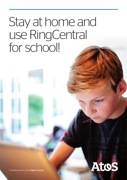# Stay at home and use RingCentral for school!



Trusted partner for your Digital Journey